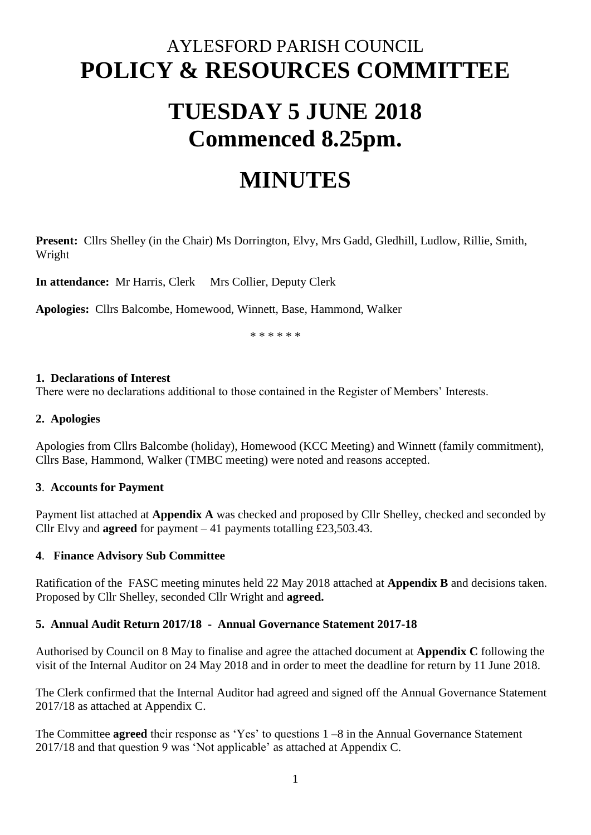## AYLESFORD PARISH COUNCIL **POLICY & RESOURCES COMMITTEE**

# **TUESDAY 5 JUNE 2018 Commenced 8.25pm.**

## **MINUTES**

**Present:** Cllrs Shelley (in the Chair) Ms Dorrington, Elvy, Mrs Gadd, Gledhill, Ludlow, Rillie, Smith, Wright

**In attendance:** Mr Harris, Clerk Mrs Collier, Deputy Clerk

**Apologies:** Cllrs Balcombe, Homewood, Winnett, Base, Hammond, Walker

\* \* \* \* \* \*

#### **1. Declarations of Interest**

There were no declarations additional to those contained in the Register of Members' Interests.

#### **2. Apologies**

Apologies from Cllrs Balcombe (holiday), Homewood (KCC Meeting) and Winnett (family commitment), Cllrs Base, Hammond, Walker (TMBC meeting) were noted and reasons accepted.

#### **3**. **Accounts for Payment**

Payment list attached at **Appendix A** was checked and proposed by Cllr Shelley, checked and seconded by Cllr Elvy and **agreed** for payment – 41 payments totalling £23,503.43.

#### **4**. **Finance Advisory Sub Committee**

Ratification of the FASC meeting minutes held 22 May 2018 attached at **Appendix B** and decisions taken. Proposed by Cllr Shelley, seconded Cllr Wright and **agreed.**

#### **5. Annual Audit Return 2017/18 - Annual Governance Statement 2017-18**

Authorised by Council on 8 May to finalise and agree the attached document at **Appendix C** following the visit of the Internal Auditor on 24 May 2018 and in order to meet the deadline for return by 11 June 2018.

The Clerk confirmed that the Internal Auditor had agreed and signed off the Annual Governance Statement 2017/18 as attached at Appendix C.

The Committee **agreed** their response as 'Yes' to questions 1 –8 in the Annual Governance Statement 2017/18 and that question 9 was 'Not applicable' as attached at Appendix C.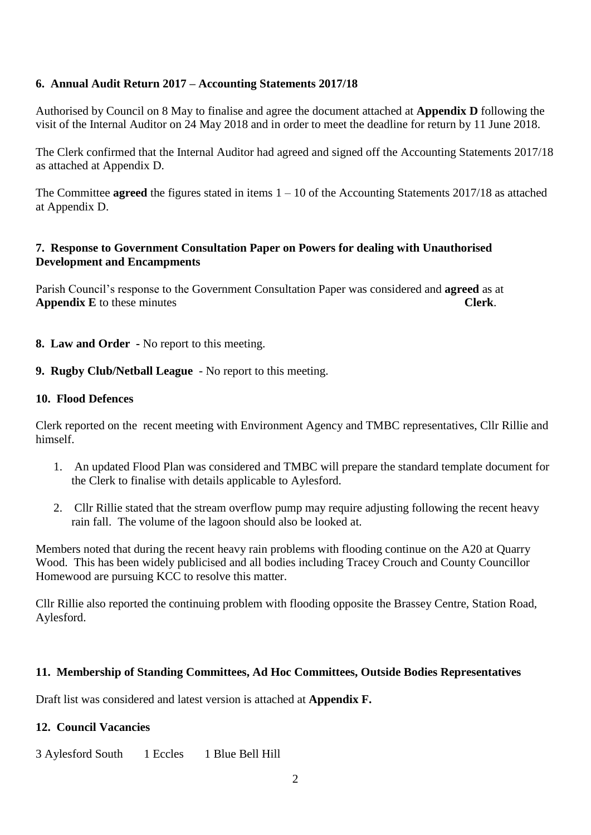## **6. Annual Audit Return 2017 – Accounting Statements 2017/18**

Authorised by Council on 8 May to finalise and agree the document attached at **Appendix D** following the visit of the Internal Auditor on 24 May 2018 and in order to meet the deadline for return by 11 June 2018.

The Clerk confirmed that the Internal Auditor had agreed and signed off the Accounting Statements 2017/18 as attached at Appendix D.

The Committee **agreed** the figures stated in items  $1 - 10$  of the Accounting Statements 2017/18 as attached at Appendix D.

### **7. Response to Government Consultation Paper on Powers for dealing with Unauthorised Development and Encampments**

Parish Council's response to the Government Consultation Paper was considered and **agreed** as at **Appendix E** to these minutes **Clerk**.

- **8. Law and Order -** No report to this meeting.
- **9. Rugby Club/Netball League** No report to this meeting.

#### **10. Flood Defences**

Clerk reported on the recent meeting with Environment Agency and TMBC representatives, Cllr Rillie and himself.

- 1. An updated Flood Plan was considered and TMBC will prepare the standard template document for the Clerk to finalise with details applicable to Aylesford.
- 2. Cllr Rillie stated that the stream overflow pump may require adjusting following the recent heavy rain fall. The volume of the lagoon should also be looked at.

Members noted that during the recent heavy rain problems with flooding continue on the A20 at Quarry Wood. This has been widely publicised and all bodies including Tracey Crouch and County Councillor Homewood are pursuing KCC to resolve this matter.

Cllr Rillie also reported the continuing problem with flooding opposite the Brassey Centre, Station Road, Aylesford.

## **11. Membership of Standing Committees, Ad Hoc Committees, Outside Bodies Representatives**

Draft list was considered and latest version is attached at **Appendix F.**

## **12. Council Vacancies**

3 Aylesford South 1 Eccles 1 Blue Bell Hill